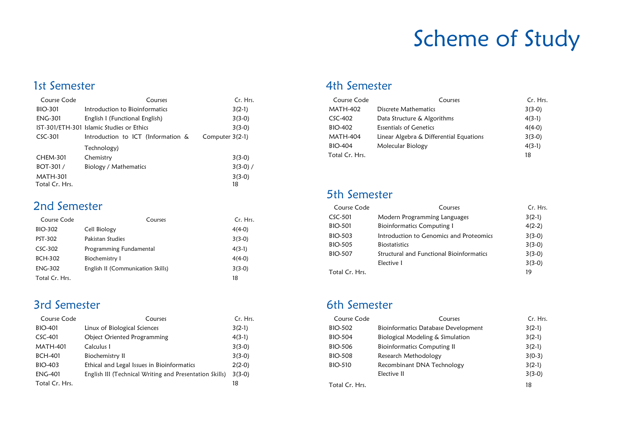# Scheme of Study

#### 1st Semester

| Course Code                       | Courses                                   | Cr. Hrs.          |
|-----------------------------------|-------------------------------------------|-------------------|
| <b>BIO-301</b>                    | Introduction to Bioinformatics            | $3(2-1)$          |
| <b>ENG-301</b>                    | English I (Functional English)            | $3(3-0)$          |
|                                   | IST-301/ETH-301 Islamic Studies or Ethics | $3(3-0)$          |
| $CSC-301$                         | Introduction to ICT (Information &        | Computer $3(2-1)$ |
|                                   | Technology)                               |                   |
| <b>CHEM-301</b>                   | Chemistry                                 | $3(3-0)$          |
| BOT-301/                          | Biology / Mathematics                     | $3(3-0)$ /        |
| <b>MATH-301</b><br>Total Cr. Hrs. |                                           | $3(3-0)$<br>18    |

#### 2nd Semester

| Course Code    | Courses                           | Cr. Hrs. |
|----------------|-----------------------------------|----------|
| BIO-302        | Cell Biology                      | $4(4-0)$ |
| PST-302        | Pakistan Studies                  | $3(3-0)$ |
| CSC-302        | Programming Fundamental           | $4(3-1)$ |
| BCH-302        | Biochemistry 1                    | $4(4-0)$ |
| <b>ENG-302</b> | English II (Communication Skills) | $3(3-0)$ |
| Total Cr. Hrs. |                                   | 18       |

### 3rd Semester

| Course Code     | Courses                                                 | Cr. Hrs. |
|-----------------|---------------------------------------------------------|----------|
| <b>BIO-401</b>  | Linux of Biological Sciences                            | $3(2-1)$ |
| CSC-401         | <b>Object Oriented Programming</b>                      | $4(3-1)$ |
| <b>MATH-401</b> | Calculus I                                              | $3(3-0)$ |
| <b>BCH-401</b>  | Biochemistry II                                         | $3(3-0)$ |
| BIO-403         | Ethical and Legal Issues in Bioinformatics              | $2(2-0)$ |
| <b>ENG-401</b>  | English III (Technical Writing and Presentation Skills) | $3(3-0)$ |
| Total Cr. Hrs.  |                                                         | 18       |

#### 4th Semester

| Course Code    | Courses                                 | Cr. Hrs. |
|----------------|-----------------------------------------|----------|
| MATH-402       | Discrete Mathematics                    | $3(3-0)$ |
| CSC-402        | Data Structure & Algorithms             | $4(3-1)$ |
| BIO-402        | <b>Essentials of Genetics</b>           | $4(4-0)$ |
| MATH-404       | Linear Algebra & Differential Equations | $3(3-0)$ |
| <b>BIO-404</b> | Molecular Biology                       | $4(3-1)$ |
| Total Cr. Hrs. |                                         | 18       |

#### 5th Semester

| Course Code    | Courses                                  | Cr. Hrs. |
|----------------|------------------------------------------|----------|
| CSC-501        | Modern Programming Languages             | $3(2-1)$ |
| BIO-501        | <b>Bioinformatics Computing 1</b>        | $4(2-2)$ |
| BIO-503        | Introduction to Genomics and Proteomics  | $3(3-0)$ |
| BIO-505        | <b>Biostatistics</b>                     | $3(3-0)$ |
| <b>BIO-507</b> | Structural and Functional Bioinformatics | $3(3-0)$ |
|                | Elective 1                               | $3(3-0)$ |
| Total Cr. Hrs. |                                          | 19       |
|                |                                          |          |

### 6th Semester

| Course Code    | Courses                                    | Cr. Hrs. |
|----------------|--------------------------------------------|----------|
| BIO-502        | <b>Bioinformatics Database Development</b> | $3(2-1)$ |
| BIO-504        | Biological Modeling & Simulation           | $3(2-1)$ |
| BIO-506        | <b>Bioinformatics Computing II</b>         | $3(2-1)$ |
| BIO-508        | Research Methodology                       | $3(0-3)$ |
| <b>BIO-510</b> | Recombinant DNA Technology                 | $3(2-1)$ |
|                | Elective II                                | $3(3-0)$ |
| Total Cr. Hrs. |                                            | 18       |